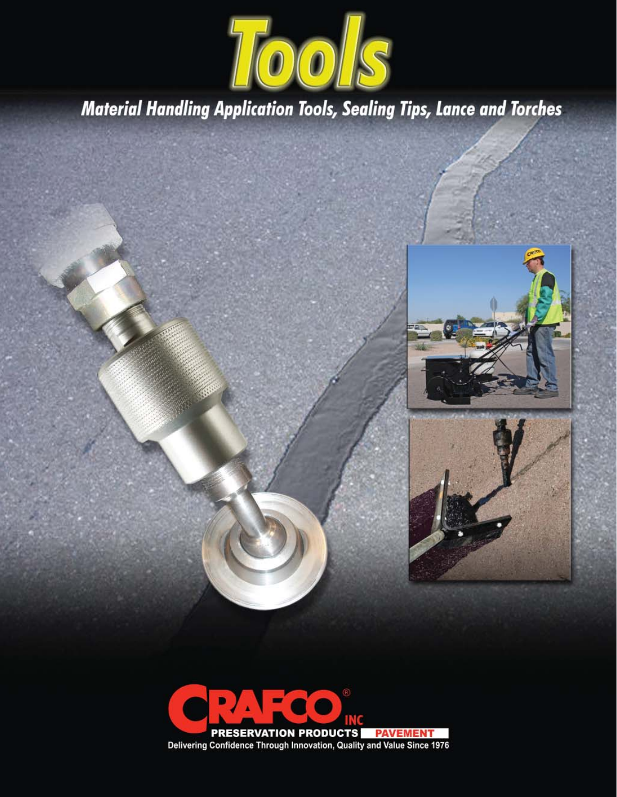

**Material Handling Application Tools, Sealing Tips, Lance and Torches**